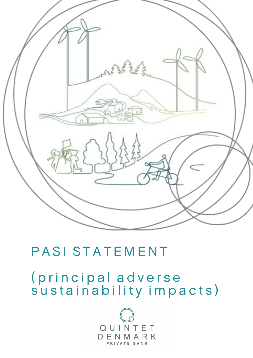

# PASI STATEMENT

(principal adverse sustainability impacts)

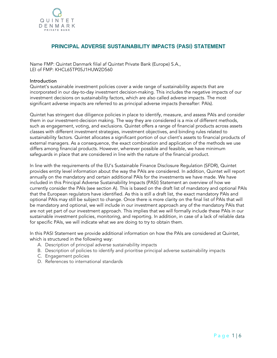

# PRINCIPAL ADVERSE SUSTAINABILITY IMPACTS (PASI) STATEMENT

Name FMP: Quintet Danmark filial af Quintet Private Bank (Europe) S.A., LEI of FMP: KHCL65TP05J1HUW2D560

#### **Introduction**

Quintet's sustainable investment policies cover a wide range of sustainability aspects that are incorporated in our day-to-day investment decision-making. This includes the negative impacts of our investment decisions on sustainability factors, which are also called adverse impacts. The most significant adverse impacts are referred to as principal adverse impacts (hereafter: PAIs).

Quintet has stringent due diligence policies in place to identify, measure, and assess PAIs and consider them in our investment-decision making. The way they are considered is a mix of different methods, such as engagement, voting, and exclusions. Quintet offers a range of financial products across assets classes with different investment strategies, investment objectives, and binding rules related to sustainability factors. Quintet allocates a significant portion of our client's assets to financial products of external managers. As a consequence, the exact combination and application of the methods we use differs among financial products. However, wherever possible and feasible, we have minimum safeguards in place that are considered in line with the nature of the financial product.

In line with the requirements of the EU's Sustainable Finance Disclosure Regulation (SFDR), Quintet provides entity level information about the way the PAIs are considered. In addition, Quintet will report annually on the mandatory and certain additional PAIs for the investments we have made. We have included in this Principal Adverse Sustainability Impacts (PASI) Statement an overview of how we currently consider the PAIs (see section A). This is based on the draft list of mandatory and optional PAIs that the European regulators have identified. As this is still a draft list, the exact mandatory PAIs and optional PAIs may still be subject to change. Once there is more clarity on the final list of PAIs that will be mandatory and optional, we will include in our investment approach any of the mandatory PAIs that are not yet part of our investment approach. This implies that we will formally include these PAIs in our sustainable investment policies, monitoring, and reporting. In addition, in case of a lack of reliable data for specific PAIs, we will indicate what we are doing to try to obtain them.

In this PASI Statement we provide additional information on how the PAIs are considered at Quintet, which is structured in the following way:

- A. Description of principal adverse sustainability impacts
- B. Description of policies to identify and prioritise principal adverse sustainability impacts
- C. Engagement policies
- D. References to international standards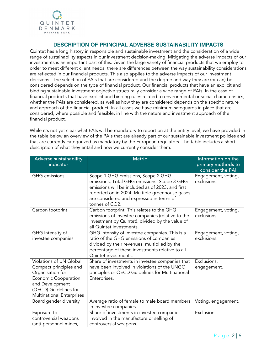

# DESCRIPTION OF PRINCIPAL ADVERSE SUSTAINABILITY IMPACTS

Quintet has a long history in responsible and sustainable investment and the consideration of a wide range of sustainability aspects in our investment decision-making. Mitigating the adverse impacts of our investments is an important part of this. Given the large variety of financial products that we employ to order to meet different client needs, there are differences between the way sustainability considerations are reflected in our financial products. This also applies to the adverse impacts of our investment decisions – the selection of PAIs that are considered and the degree and way they are (or can) be considered depends on the type of financial product. Our financial products that have an explicit and binding sustainable investment objective structurally consider a wide range of PAIs. In the case of financial products that have explicit and binding rules related to environmental or social characteristics, whether the PAIs are considered, as well as how they are considered depends on the specific nature and approach of the financial product. In all cases we have minimum safeguards in place that are considered, where possible and feasible, in line with the nature and investment approach of the financial product.

While it's not yet clear what PAIs will be mandatory to report on at the entity level, we have provided in the table below an overview of the PAIs that are already part of our sustainable investment policies and that are currently categorized as mandatory by the European regulators. The table includes a short description of what they entail and how we currently consider them.

| Adverse sustainability<br>indicator                                                                                                                                                  | <b>Metric</b>                                                                                                                                                                                                                                         | Information on the<br>primary methods to<br>consider the PAI |
|--------------------------------------------------------------------------------------------------------------------------------------------------------------------------------------|-------------------------------------------------------------------------------------------------------------------------------------------------------------------------------------------------------------------------------------------------------|--------------------------------------------------------------|
| <b>GHG</b> emissions                                                                                                                                                                 | Scope 1 GHG emissions, Scope 2 GHG<br>emissions, Total GHG emissions. Scope 3 GHG<br>emissions will be included as of 2023, and first<br>reported on in 2024. Multiple greenhouse gases<br>are considered and expressed in terms of<br>tonnes of CO2. | Engagement, voting,<br>exclusions.                           |
| Carbon footprint                                                                                                                                                                     | Carbon footprint. This relates to the GHG<br>emissions of investee companies (relative to the<br>investment by Quintet), divided by the value of<br>all Quintet investments.                                                                          | Engagement, voting,<br>exclusions.                           |
| GHG intensity of<br>investee companies                                                                                                                                               | GHG intensity of investee companies. This is a<br>ratio of the GHG emissions of companies<br>divided by their revenues, multiplied by the<br>percentage of these investments relative to all<br>Quintet investments.                                  | Engagement, voting,<br>exclusions.                           |
| Violations of UN Global<br>Compact principles and<br>Organisation for<br><b>Economic Cooperation</b><br>and Development<br>(OECD) Guidelines for<br><b>Multinational Enterprises</b> | Share of investments in investee companies that<br>have been involved in violations of the UNGC<br>principles or OECD Guidelines for Multinational<br>Enterprises.                                                                                    | Exclusions,<br>engagement.                                   |
| Board gender diversity                                                                                                                                                               | Average ratio of female to male board members<br>in investee companies.                                                                                                                                                                               | Voting, engagement.                                          |
| Exposure to<br>controversial weapons<br>(anti-personnel mines,                                                                                                                       | Share of investments in investee companies<br>involved in the manufacture or selling of<br>controversial weapons.                                                                                                                                     | Exclusions.                                                  |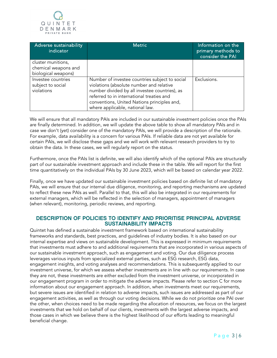

| Adverse sustainability<br>indicator                   | <b>Metric</b>                                                                                                                                                                                                                                                              | Information on the<br>primary methods to<br>consider the PAI |
|-------------------------------------------------------|----------------------------------------------------------------------------------------------------------------------------------------------------------------------------------------------------------------------------------------------------------------------------|--------------------------------------------------------------|
| cluster munitions,                                    |                                                                                                                                                                                                                                                                            |                                                              |
| chemical weapons and                                  |                                                                                                                                                                                                                                                                            |                                                              |
| biological weapons)                                   |                                                                                                                                                                                                                                                                            |                                                              |
| Investee countries<br>subject to social<br>violations | Number of investee countries subject to social<br>violations (absolute number and relative<br>number divided by all investee countries), as<br>referred to in international treaties and<br>conventions, United Nations principles and,<br>where applicable, national law. | Exclusions.                                                  |

We will ensure that all mandatory PAIs are included in our sustainable investment policies once the PAIs are finally determined. In addition, we will update the above table to show all mandatory PAIs and in case we don't (yet) consider one of the mandatory PAIs, we will provide a description of the rationale. For example, data availability is a concern for various PAIs. If reliable data are not yet available for certain PAIs, we will disclose these gaps and we will work with relevant research providers to try to obtain the data. In these cases, we will regularly report on the status.

Furthermore, once the PAIs list is definite, we will also identify which of the optional PAIs are structurally part of our sustainable investment approach and include these in the table. We will report for the first time quantitatively on the individual PAIs by 30 June 2023, which will be based on calendar year 2022.

Finally, once we have updated our sustainable investment policies based on definite list of mandatory PAIs, we will ensure that our internal due diligence, monitoring, and reporting mechanisms are updated to reflect these new PAIs as well. Parallel to that, this will also be integrated in our requirements for external managers, which will be reflected in the selection of managers, appointment of managers (when relevant), monitoring, periodic reviews, and reporting.

## DESCRIPTION OF POLICIES TO IDENTIFY AND PRIORITISE PRINCIPAL ADVERSE SUSTAINABILITY IMPACTS

Quintet has defined a sustainable investment framework based on international sustainability frameworks and standards, best practices, and guidelines of industry bodies. It is also based on our internal expertise and views on sustainable development. This is expressed in minimum requirements that investments must adhere to and additional requirements that are incorporated in various aspects of our sustainable investment approach, such as engagement and voting. Our due diligence process leverages various inputs from specialized external parties, such as ESG research, ESG data, engagement insights, and voting analyses and recommendations. This is subsequently applied to our investment universe, for which we assess whether investments are in line with our requirements. In case they are not, these investments are either excluded from the investment universe, or incorporated in our engagement program in order to mitigate the adverse impacts. Please refer to section C for more information about our engagement approach. In addition, when investments meet our requirements, but severe issues are identified in relation to adverse impacts, such issues are addressed as part of our engagement activities, as well as through our voting decisions. While we do not prioritize one PAI over the other, when choices need to be made regarding the allocation of resources, we focus on the largest investments that we hold on behalf of our clients, investments with the largest adverse impacts, and those cases in which we believe there is the highest likelihood of our efforts leading to meaningful beneficial change.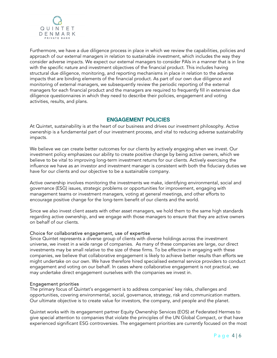

Furthermore, we have a due diligence process in place in which we review the capabilities, policies and approach of our external managers in relation to sustainable investment, which includes the way they consider adverse impacts. We expect our external managers to consider PAIs in a manner that is in line with the specific nature and investment objectives of the financial product. This includes having structural due diligence, monitoring, and reporting mechanisms in place in relation to the adverse impacts that are binding elements of the financial product. As part of our own due diligence and monitoring of external managers, we subsequently review the periodic reporting of the external managers for each financial product and the managers are required to frequently fill in extensive due diligence questionnaires in which they need to describe their policies, engagement and voting activities, results, and plans.

## ENGAGEMENT POLICIES

At Quintet, sustainability is at the heart of our business and drives our investment philosophy. Active ownership is a fundamental part of our investment process, and vital to reducing adverse sustainability impacts.

We believe we can create better outcomes for our clients by actively engaging when we invest. Our investment policy emphasizes our ability to create positive change by being active owners, which we believe to be vital to improving long-term investment returns for our clients. Actively exercising the influence we have as an investor and investment manager is consistent with both the fiduciary duties we have for our clients and our objective to be a sustainable company.

Active ownership involves monitoring the investments we make, identifying environmental, social and governance (ESG) issues, strategic problems or opportunities for improvement, engaging with management teams or investment managers, voting at general meetings, and other efforts to encourage positive change for the long-term benefit of our clients and the world.

Since we also invest client assets with other asset managers, we hold them to the same high standards regarding active ownership, and we engage with those managers to ensure that they are active owners on behalf of our clients.

#### Choice for collaborative engagement, use of expertise

Since Quintet represents a diverse group of clients with diverse holdings across the investment universe, we invest in a wide range of companies. As many of these companies are large, our direct investments may be small relative to the size of these firms. To be effective in engaging with these companies, we believe that collaborative engagement is likely to achieve better results than efforts we might undertake on our own. We have therefore hired specialised external service providers to conduct engagement and voting on our behalf. In cases where collaborative engagement is not practical, we may undertake direct engagement ourselves with the companies we invest in.

#### Engagement priorities

The primary focus of Quintet's engagement is to address companies' key risks, challenges and opportunities, covering environmental, social, governance, strategy, risk and communication matters. Our ultimate objective is to create value for investors, the company, and people and the planet.

Quintet works with its engagement partner Equity Ownership Services (EOS) at Federated Hermes to give special attention to companies that violate the principles of the UN Global Compact, or that have experienced significant ESG controversies. The engagement priorities are currently focused on the most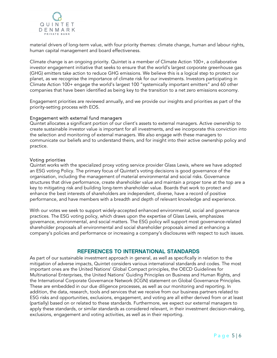

material drivers of long-term value, with four priority themes: climate change, human and labour rights, human capital management and board effectiveness.

Climate change is an ongoing priority. Quintet is a member of Climate Action 100+, a collaborative investor engagement initiative that seeks to ensure that the world's largest corporate greenhouse gas (GHG) emitters take action to reduce GHG emissions. We believe this is a logical step to protect our planet, as we recognise the importance of climate risk for our investments. Investors participating in Climate Action 100+ engage the world's largest 100 "systemically important emitters" and 60 other companies that have been identified as being key to the transition to a net zero emissions economy.

Engagement priorities are reviewed annually, and we provide our insights and priorities as part of the priority-setting process with EOS.

#### Engagement with external fund managers

Quintet allocates a significant portion of our client's assets to external managers. Active ownership to create sustainable investor value is important for all investments, and we incorporate this conviction into the selection and monitoring of external managers. We also engage with these managers to communicate our beliefs and to understand theirs, and for insight into their active ownership policy and practice.

#### Voting priorities

Quintet works with the specialized proxy voting service provider Glass Lewis, where we have adopted an ESG voting Policy. The primary focus of Quintet's voting decisions is good governance of the organisation, including the management of material environmental and social risks. Governance structures that drive performance, create shareholder value and maintain a proper tone at the top are a key to mitigating risk and building long-term shareholder value. Boards that work to protect and enhance the best interests of shareholders are independent, diverse, have a record of positive performance, and have members with a breadth and depth of relevant knowledge and experience.

With our votes we seek to support widely-accepted enhanced environmental, social and governance practices. The ESG voting policy, which draws upon the expertise of Glass Lewis, emphasizes governance, environmental, and social matters. The ESG policy will support most governance-related shareholder proposals all environmental and social shareholder proposals aimed at enhancing a company's policies and performance or increasing a company's disclosures with respect to such issues.

## REFERENCES TO INTERNATIONAL STANDARDS

As part of our sustainable investment approach in general, as well as specifically in relation to the mitigation of adverse impacts, Quintet considers various international standards and codes. The most important ones are the United Nations' Global Compact principles, the OECD Guidelines for Multinational Enterprises, the United Nations' Guiding Principles on Business and Human Rights, and the International Corporate Governance Network (ICGN) statement on Global Governance Principles. These are embedded in our due diligence processes, as well as our monitoring and reporting. In addition, the data, research, tools and services that we receive from our business partners related to ESG risks and opportunities, exclusions, engagement, and voting are all either derived from or at least (partially) based on or related to these standards. Furthermore, we expect our external managers to apply these standards, or similar standards as considered relevant, in their investment decision-making, exclusions, engagement and voting activities, as well as in their reporting.